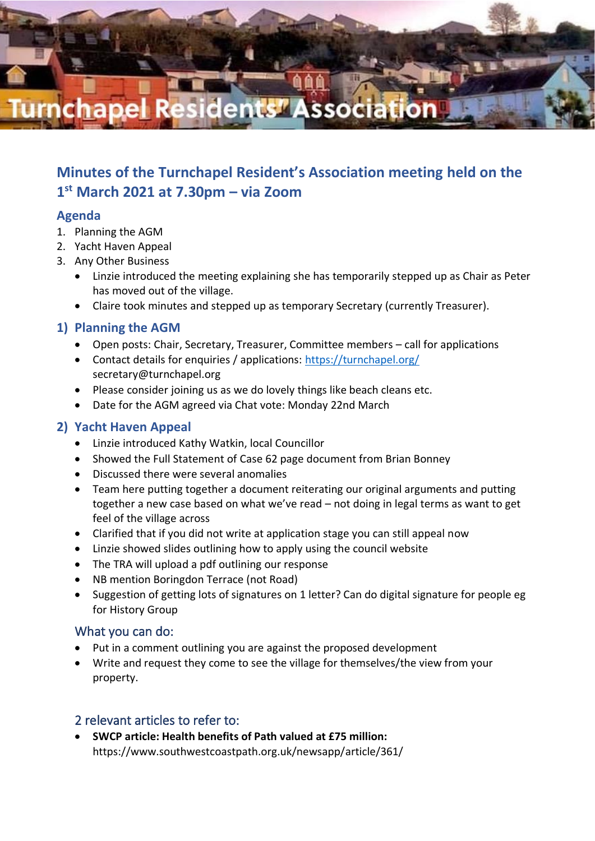

# **Minutes of the Turnchapel Resident's Association meeting held on the 1 st March 2021 at 7.30pm – via Zoom**

# **Agenda**

- 1. Planning the AGM
- 2. Yacht Haven Appeal
- 3. Any Other Business
	- Linzie introduced the meeting explaining she has temporarily stepped up as Chair as Peter has moved out of the village.
	- Claire took minutes and stepped up as temporary Secretary (currently Treasurer).

# **1) Planning the AGM**

- Open posts: Chair, Secretary, Treasurer, Committee members call for applications
- Contact details for enquiries / applications:<https://turnchapel.org/> secretary@turnchapel.org
- Please consider joining us as we do lovely things like beach cleans etc.
- Date for the AGM agreed via Chat vote: Monday 22nd March

## **2) Yacht Haven Appeal**

- Linzie introduced Kathy Watkin, local Councillor
- Showed the Full Statement of Case 62 page document from Brian Bonney
- Discussed there were several anomalies
- Team here putting together a document reiterating our original arguments and putting together a new case based on what we've read – not doing in legal terms as want to get feel of the village across
- Clarified that if you did not write at application stage you can still appeal now
- Linzie showed slides outlining how to apply using the council website
- The TRA will upload a pdf outlining our response
- NB mention Boringdon Terrace (not Road)
- Suggestion of getting lots of signatures on 1 letter? Can do digital signature for people eg for History Group

### What you can do:

- Put in a comment outlining you are against the proposed development
- Write and request they come to see the village for themselves/the view from your property.

### 2 relevant articles to refer to:

• **SWCP article: Health benefits of Path valued at £75 million:**  https://www.southwestcoastpath.org.uk/newsapp/article/361/